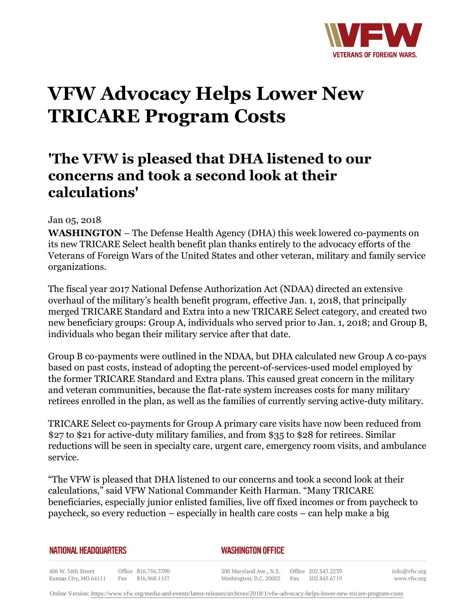

## **VFW Advocacy Helps Lower New TRICARE Program Costs**

## **'The VFW is pleased that DHA listened to our concerns and took a second look at their calculations'**

## Jan 05, 2018

**WASHINGTON** – The Defense Health Agency (DHA) this week lowered co-payments on its new TRICARE Select health benefit plan thanks entirely to the advocacy efforts of the Veterans of Foreign Wars of the United States and other veteran, military and family service organizations.

The fiscal year 2017 National Defense Authorization Act (NDAA) directed an extensive overhaul of the military's health benefit program, effective Jan. 1, 2018, that principally merged TRICARE Standard and Extra into a new TRICARE Select category, and created two new beneficiary groups: Group A, individuals who served prior to Jan. 1, 2018; and Group B, individuals who began their military service after that date.

Group B co-payments were outlined in the NDAA, but DHA calculated new Group A co-pays based on past costs, instead of adopting the percent-of-services-used model employed by the former TRICARE Standard and Extra plans. This caused great concern in the military and veteran communities, because the flat-rate system increases costs for many military retirees enrolled in the plan, as well as the families of currently serving active-duty military.

TRICARE Select co-payments for Group A primary care visits have now been reduced from \$27 to \$21 for active-duty military families, and from \$35 to \$28 for retirees. Similar reductions will be seen in specialty care, urgent care, emergency room visits, and ambulance service.

"The VFW is pleased that DHA listened to our concerns and took a second look at their calculations," said VFW National Commander Keith Harman. "Many TRICARE beneficiaries, especially junior enlisted families, live off fixed incomes or from paycheck to paycheck, so every reduction – especially in health care costs – can help make a big

| <b>NATIONAL HEADQUARTERS</b> |  |
|------------------------------|--|
|------------------------------|--|

*WASHINGTON OFFICE* 

406 W. 34th Street Office 816.756.3390 Fax 816.968.1157 Kansas City, MO 64111

200 Maryland Ave., N.E. Washington, D.C. 20002

Office 202.543.2239 Fax 202.543.6719

info@vfw.org www.vfw.org

Online Version:<https://www.vfw.org/media-and-events/latest-releases/archives/2018/1/vfw-advocacy-helps-lower-new-tricare-program-costs>